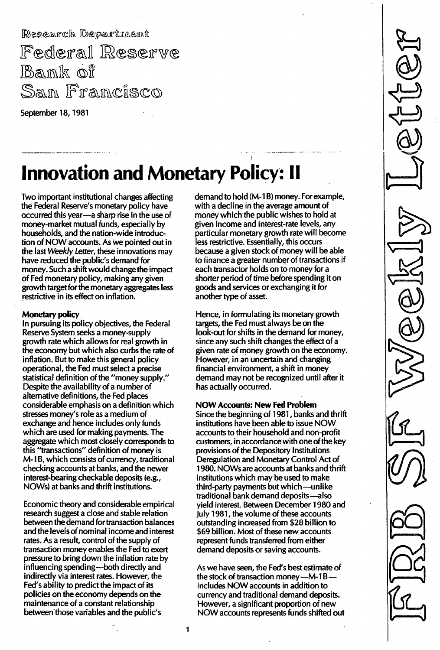Research Department Federal Reserve Bank of San Francisco

September 18, 1981

## **Innovation and Monetary Policy: II**

Two important institutional changes affecting the Federal Reserve's monetary policy have occurred this year-a sharp rise in the use of money-market mutual funds, especially by households, and the nation-wide introduction of NOW accounts. As we pointed out in the last Weekly Letter, these innovations may have reduced the public's demand for money. Such a shift would change the impact of Fed monetary policy, making any given growth target for the monetary aggregates less restrictive in its effect on inflation.

#### **Monetary policy**

In pursuing its policy objectives, the Federal Reserve System seeks a money-supply growth rate which allows for real growth in the economy but which also curbs the rate of inflation. But to make this general policy operational, the Fed must select a precise statistical definition of the "money supply." Despite the availability of a number of alternative definitions, the Fed places considerable emphasis on a definition which stresses money's role as a medium of exchange and hence includes only funds which are used for making payments. The aggregate which most closely corresponds to this "transactions" definition of money is M-1B, which consists of currency, traditional checking accounts at banks, and the newer interest-bearing checkable deposits (e.g., NOWs) at banks and thrift institutions.

Economic theory and considerable empirical research suggest a close and stable relation between the demand for transaction balances and the levels of nominal income and interest rates. As a result, control of the supply of transaction money enables the Fed to exert pressure to bring down the inflation rate by influencing spending-both directly and indirectly via interest rates. However, the Fed's ability to predict the impact of its policies on the economy depends on the maintenance of a constant relationship between those variables and the public's

demand to hold (M-1B) money. For example, with a decline in the average amount of money which the public wishes to hold at given income and interest-rate levels, any particular monetary growth rate will become less restrictive. Essentially, this occurs because a given stock of money will be able to finance a greater number of transactions if each transactor holds on to money for a shorter period of time before spending it on goods and services or exchanging it for another type of asset.

Hence, in formulating its monetary growth targets, the Fed must always be on the look-out for shifts in the demand for money, since any such shift changes the effect of a given rate of money growth on the economy. However, in an uncertain and changing financial environment, a shift in money demand may not be recognized until after it has actually occurred.

#### **NOW Accounts: New Fed Problem**

Since the beginning of 1981, banks and thrift institutions have been able to issue NOW accounts to their household and non-profit customers, in accordance with one of the key provisions of the Depository Institutions Deregulation and Monetary Control Act of 1980. NOWs are accounts at banks and thrift institutions which may be used to make third-party payments but which-unlike traditional bank demand deposits-also yield interest. Between December 1980 and July 1981, the volume of these accounts outstanding increased from \$28 billion to \$69 billion. Most of these new accounts represent funds transferred from either demand deposits or saving accounts.

As we have seen, the Fed's best estimate of the stock of transaction money -- M-1Bincludes NOW accounts in addition to currency and traditional demand deposits. However, a significant proportion of new NOW accounts represents funds shifted out

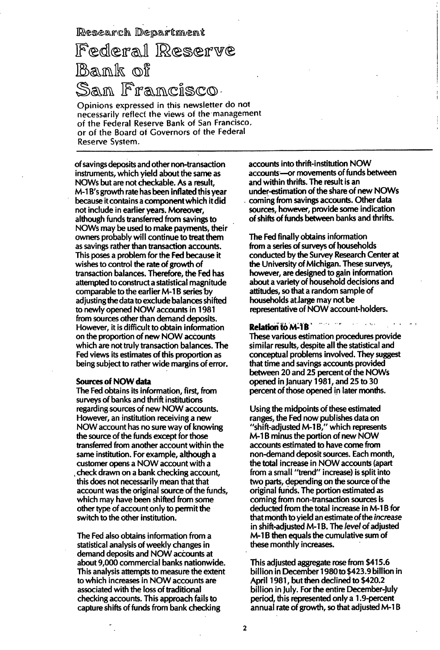Research Department

# Federal Reserve<br>Bank of San Francisco.

Opinions expressed in this newsletter do not necessarilv reflect the views of the management of the Federal Reserve Bank of San Francisco, or of the Board of Covernors of the Federal Reserve System.

of savings deposits and other non-transaction instruments, which yield about the same as NOWs but are not checkable. As a result. M-l B's growth rate has been inflated this year because it contains a component which it did not include in earlier years. Moreover, although funds transferred from savings to NOWs may be used to make payments, their owners probably will continue to treat them as savings rather than transaction accounts. This poses a problem for the Fed because it wishes to control the rate of growth of transaction balances. Therefore, the Fed has attempted to construct a statistical magnitude comparable to the earlier M-1B series by adjusting the data to exclude balances shifted to newly opened NOW accounts in 1981 from sources other than demand deposits. However, it is difficult to obtain information on the proportion of new NOW accounts which are not truly transaction balances. The Fed views its estimates of this proportion as being subject to rather wide margins of error.

#### Sources of NOW data

The Fed obtains its information, first, from surveys of banks and thrift institutions regarding sources of new NOW accounts. However, an institution receiving a new NOW account has no sure way of knowing the source of the funds except for those transferred from another account within the same institution. For example, although a customer opens a NOW account with a ,check drawn on a bank checking account, this does not necessarily mean that that account was the original source of the funds, which may have been shifted from some other type of account only to permit the switch to the other institution.

The Fed also obtains information from a statistical analysis of weekly changes in demand deposits and NOW accounts at about 9,000 commercial banks nationwide. This analysis attempts to measure the extent to which increases in NOW accounts are associated with the loss of traditional checking accounts. This approach fails to capture shifts of funds from bank checking

accounts into thrift-institution NOW accounts-or movements of funds between and within thrifts. The result is an under-estimation of the share of new NOWs . coming from savings accounts. Other data sources, however, provide some indication of shifts of funds between banks and thrifts.

The Fed finally obtains information from a series of surveys of households conducted by the Survey Research Center at the University of Michigan. These surveys, however, are designed to gain information about a variety of household decisions and attitudes, so that a random sample of households at.large may not be representative of NOW account-holders.

#### Relatio.i 1 B' ..

These various estimation procedures provide similar results, despite all the statistical and conceptual problems involved. They suggest that time and savings accounts provided between 20 and 25 percent of the NOWs opened in January 1981, and 25 to 30 percent of those opened in later months.

**Service** State

Using the midpoints of these estimated ranges, the Fed now publishes data on "shift-adjusted M-1 B," which represents M-1B minus the portion of new NOW accounts estimated to have come from non-demand deposit sources. Each month, the total increase in NOW accounts (apart from a small "trend" increase) is split into two parts, depending on the source of the original funds. The portion estimated as coming from non-transaction sources is deducted from the total increase in M-l B for that month to yield an estimate of the increase in shift-adjusted M-1B. The level of adjusted M-1B then equals the cumulative sum of these monthly increases.

This adjusted aggregate rose from \$415.6 billion in December 1980to \$423.9 billion in April 1981, but then declined to \$420.2 billion in July. For the entire December-July period, this represented only a 1.9-percent annual rate of growth, so that adjusted M-l B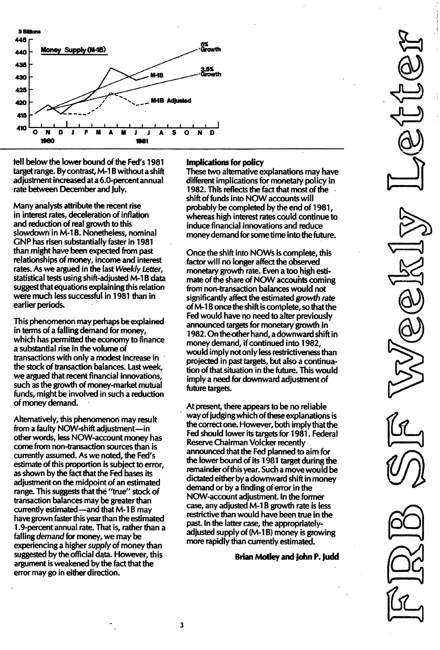

tell below the lower bound of the Fed's 1981 target range. By contrast, M-1B without a shift adjustment increased at a 6.0-percent annual rate between December and July.

Many analysts attribute the recent rise in interest rates, deceleration of inflation and reduction of real growth to this slowdown in M-1 B. Nonetheless, nominal GNP has risen substantially faster in 1981 than might have been expected from past relationships of money, income and interest rates. As we argued in the last Weekly Letter, statistical tests using shift-adjusted M-1 B data suggest that equations explaining this relation were much less successful in 1981 than in earlier periods.

This phenomenon may perhaps be explained in terms of a falling demand for money, which has permitted the economy to finance a substantial rise in the volume of transactions with only amodest increase in the stock of transaction balances. Last week, we argued that recent financial innovations, such as the growth of money-market mutual funds, might be involved in such a reduction of money demand.

Alternatively, this phenomenon may result from a faulty NOW-shift adjustment-in other words, less NOW-account money has come from non-transaction sources than is currently assumed. As we noted, the Fed's estimate of this proportion is subject to error, as shown by the fact that the Fed bases its adjustment on the midpoint of an estimated range. This suggests that the "true" stock of transaction balances may be greater than currently estimated-and that M-1 B may have grown faster this year than the estimated 1.9-percent annual rate. That is, rather than a falling demand for money, we may be experiencing a higher supply of money than suggested by the official data. However, this argument is weakened by the fact that the error may go in either direction.

#### Implications for policy

These two alternative explanations may have different implications for monetary policy in 1982. This reflects the fact that most of the shift of funds into NOW accounts will probably be completed by the end of 1981, whereas high interest rates could continue to induce financial innovations and reduce money demand for some time into the future.

Once the shift into NOWs is complete, this factor will no longer affect the observed monetary growth rate. Even a too high estimate of the share of NOW accounts coming from non-transaction balances would not significantly affect the estimated growth rate of M-1 B once the shift is complete, so that the Fed would have no need to alter previously announced targets for monetary growth in 1982. On the other hand, a downward shift in money demand, if continued into 1982, would imply not only less restrictiveness than projected in past targets, but also a continuation of that situation in the future. This would imply a need for downward adjustment of future targets.

At present, there appears to be no reliable way of judging which of these explanations is the correct one. However, both imply that the Fed should lower its targets for 1 981 . Federal Reserve Chairman Volcker recently announced that the Fed planned to aim for the lower bound of its 1981 target during the remainder of this year. Such a move would be dictated either by a downward shift in money demand or by a finding of error in the NOW-account adjustment. In the former case, any adjusted M-1 B growth rate is less restrictive than would have been true in the past. In the latter case, the appropriatelyadjusted supply of (M-1 B) money is growing more rapidly than currently estimated.

#### Brian Motley and John P. Judd